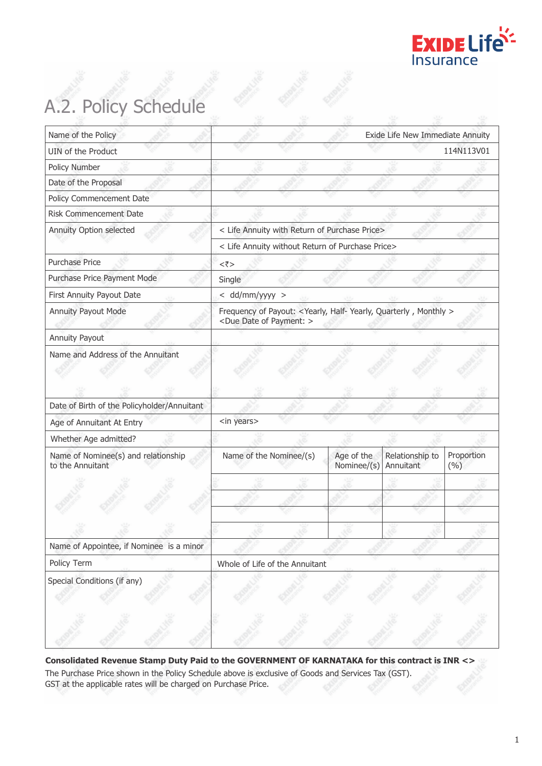

# A.2. Policy Schedule

| Name of the Policy                                      |                                                                                                           |                           | Exide Life New Immediate Annuity |                   |  |
|---------------------------------------------------------|-----------------------------------------------------------------------------------------------------------|---------------------------|----------------------------------|-------------------|--|
| UIN of the Product                                      |                                                                                                           |                           |                                  | 114N113V01        |  |
| Policy Number                                           |                                                                                                           |                           |                                  |                   |  |
| Date of the Proposal                                    |                                                                                                           |                           |                                  |                   |  |
| Policy Commencement Date                                |                                                                                                           |                           |                                  |                   |  |
| Risk Commencement Date                                  |                                                                                                           |                           |                                  |                   |  |
| Annuity Option selected                                 | < Life Annuity with Return of Purchase Price>                                                             |                           |                                  |                   |  |
|                                                         | < Life Annuity without Return of Purchase Price>                                                          |                           |                                  |                   |  |
| Purchase Price                                          | $<\bar{z}>$                                                                                               |                           |                                  |                   |  |
| Purchase Price Payment Mode                             | Single                                                                                                    |                           |                                  |                   |  |
| First Annuity Payout Date                               | $<$ dd/mm/yyyy $>$                                                                                        |                           |                                  |                   |  |
| Annuity Payout Mode                                     | Frequency of Payout: < Yearly, Half-Yearly, Quarterly, Monthly ><br><due date="" of="" payment:=""></due> |                           |                                  |                   |  |
| <b>Annuity Payout</b>                                   |                                                                                                           |                           |                                  |                   |  |
| Date of Birth of the Policyholder/Annuitant             |                                                                                                           |                           |                                  |                   |  |
| Age of Annuitant At Entry                               | <in years=""></in>                                                                                        |                           |                                  |                   |  |
| Whether Age admitted?                                   |                                                                                                           |                           |                                  |                   |  |
| Name of Nominee(s) and relationship<br>to the Annuitant | Name of the Nominee/(s)                                                                                   | Age of the<br>Nominee/(s) | Relationship to<br>Annuitant     | Proportion<br>(%) |  |
|                                                         |                                                                                                           |                           |                                  |                   |  |
|                                                         |                                                                                                           |                           |                                  |                   |  |
|                                                         |                                                                                                           |                           |                                  |                   |  |
|                                                         |                                                                                                           |                           |                                  |                   |  |
| Name of Appointee, if Nominee is a minor                |                                                                                                           |                           |                                  |                   |  |
| Policy Term                                             | Whole of Life of the Annuitant                                                                            |                           |                                  |                   |  |
| Special Conditions (if any)                             |                                                                                                           |                           |                                  |                   |  |
|                                                         |                                                                                                           |                           |                                  |                   |  |
|                                                         |                                                                                                           |                           |                                  |                   |  |
|                                                         |                                                                                                           |                           |                                  |                   |  |

**Consolidated Revenue Stamp Duty Paid to the GOVERNMENT OF KARNATAKA for this contract is INR <>** The Purchase Price shown in the Policy Schedule above is exclusive of Goods and Services Tax (GST). GST at the applicable rates will be charged on Purchase Price.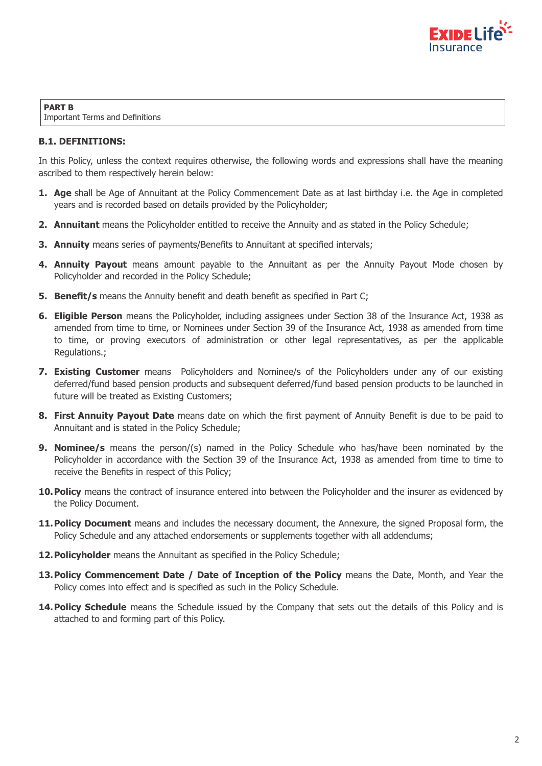

**PART B** Important Terms and Definitions

# **B.1. DEFINITIONS:**

In this Policy, unless the context requires otherwise, the following words and expressions shall have the meaning ascribed to them respectively herein below:

- **1. Age** shall be Age of Annuitant at the Policy Commencement Date as at last birthday i.e. the Age in completed years and is recorded based on details provided by the Policyholder;
- **2. Annuitant** means the Policyholder entitled to receive the Annuity and as stated in the Policy Schedule;
- **3. Annuity** means series of payments/Benefits to Annuitant at specified intervals;
- **4. Annuity Payout** means amount payable to the Annuitant as per the Annuity Payout Mode chosen by Policyholder and recorded in the Policy Schedule;
- **5. Benefit/s** means the Annuity benefit and death benefit as specified in Part C;
- **6. Eligible Person** means the Policyholder, including assignees under Section 38 of the Insurance Act, 1938 as amended from time to time, or Nominees under Section 39 of the Insurance Act, 1938 as amended from time to time, or proving executors of administration or other legal representatives, as per the applicable Regulations.;
- **7. Existing Customer** means Policyholders and Nominee/s of the Policyholders under any of our existing deferred/fund based pension products and subsequent deferred/fund based pension products to be launched in future will be treated as Existing Customers;
- **8. First Annuity Payout Date** means date on which the first payment of Annuity Benefit is due to be paid to Annuitant and is stated in the Policy Schedule;
- **9. Nominee/s** means the person/(s) named in the Policy Schedule who has/have been nominated by the Policyholder in accordance with the Section 39 of the Insurance Act, 1938 as amended from time to time to receive the Benefits in respect of this Policy;
- **10. Policy** means the contract of insurance entered into between the Policyholder and the insurer as evidenced by the Policy Document.
- **11. Policy Document** means and includes the necessary document, the Annexure, the signed Proposal form, the Policy Schedule and any attached endorsements or supplements together with all addendums;
- **12. Policyholder** means the Annuitant as specified in the Policy Schedule;
- **13. Policy Commencement Date / Date of Inception of the Policy** means the Date, Month, and Year the Policy comes into effect and is specified as such in the Policy Schedule.
- **14. Policy Schedule** means the Schedule issued by the Company that sets out the details of this Policy and is attached to and forming part of this Policy.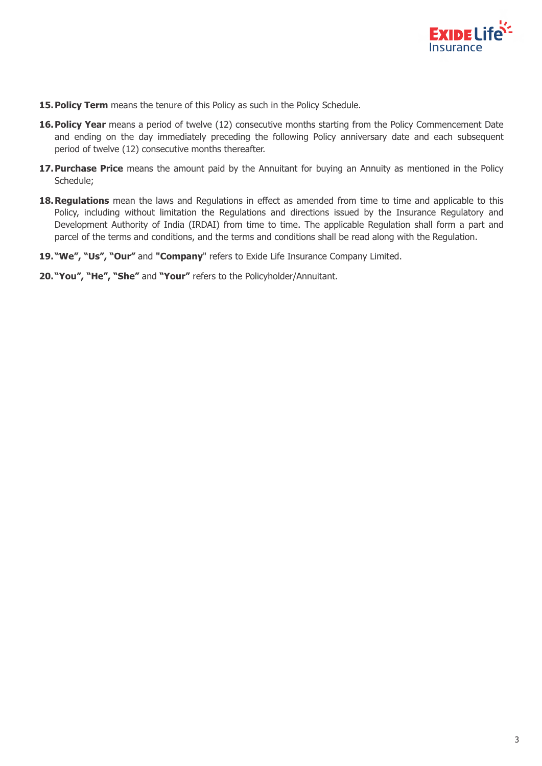

- **15. Policy Term** means the tenure of this Policy as such in the Policy Schedule.
- **16. Policy Year** means a period of twelve (12) consecutive months starting from the Policy Commencement Date and ending on the day immediately preceding the following Policy anniversary date and each subsequent period of twelve (12) consecutive months thereafter.
- **17. Purchase Price** means the amount paid by the Annuitant for buying an Annuity as mentioned in the Policy Schedule;
- 18. Regulations mean the laws and Regulations in effect as amended from time to time and applicable to this Policy, including without limitation the Regulations and directions issued by the Insurance Regulatory and Development Authority of India (IRDAI) from time to time. The applicable Regulation shall form a part and parcel of the terms and conditions, and the terms and conditions shall be read along with the Regulation.
- **19. "We", "Us", "Our"** and **"Company**" refers to Exide Life Insurance Company Limited.
- **20. "You", "He", "She"** and **"Your"** refers to the Policyholder/Annuitant.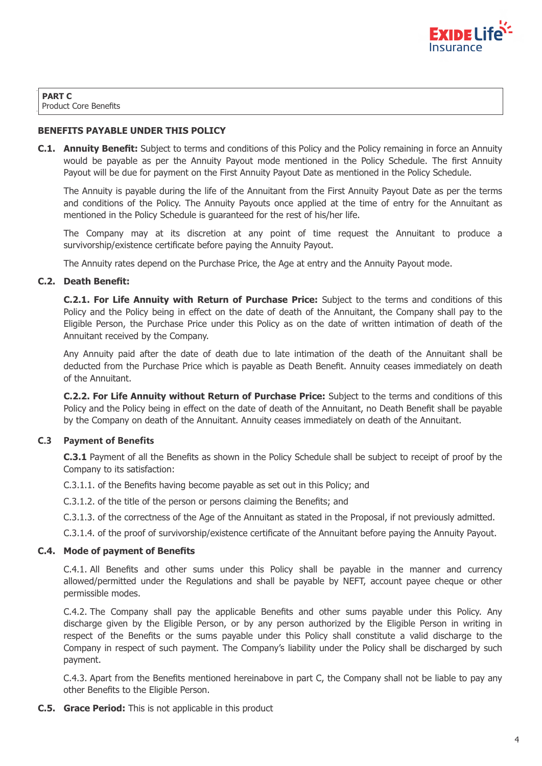

**PART C** Product Core Benefits

## **BENEFITS PAYABLE UNDER THIS POLICY**

**C.1. Annuity Benefit:** Subject to terms and conditions of this Policy and the Policy remaining in force an Annuity would be payable as per the Annuity Payout mode mentioned in the Policy Schedule. The first Annuity Payout will be due for payment on the First Annuity Payout Date as mentioned in the Policy Schedule.

The Annuity is payable during the life of the Annuitant from the First Annuity Payout Date as per the terms and conditions of the Policy. The Annuity Payouts once applied at the time of entry for the Annuitant as mentioned in the Policy Schedule is guaranteed for the rest of his/her life.

The Company may at its discretion at any point of time request the Annuitant to produce a survivorship/existence certificate before paying the Annuity Payout.

The Annuity rates depend on the Purchase Price, the Age at entry and the Annuity Payout mode.

### **C.2. Death Benefit:**

**C.2.1. For Life Annuity with Return of Purchase Price:** Subject to the terms and conditions of this Policy and the Policy being in effect on the date of death of the Annuitant, the Company shall pay to the Eligible Person, the Purchase Price under this Policy as on the date of written intimation of death of the Annuitant received by the Company.

Any Annuity paid after the date of death due to late intimation of the death of the Annuitant shall be deducted from the Purchase Price which is payable as Death Benefit. Annuity ceases immediately on death of the Annuitant.

**C.2.2. For Life Annuity without Return of Purchase Price:** Subject to the terms and conditions of this Policy and the Policy being in effect on the date of death of the Annuitant, no Death Benefit shall be payable by the Company on death of the Annuitant. Annuity ceases immediately on death of the Annuitant.

### **C.3 Payment of Benefits**

**C.3.1** Payment of all the Benefits as shown in the Policy Schedule shall be subject to receipt of proof by the Company to its satisfaction:

C.3.1.1. of the Benefits having become payable as set out in this Policy; and

C.3.1.2. of the title of the person or persons claiming the Benefits; and

C.3.1.3. of the correctness of the Age of the Annuitant as stated in the Proposal, if not previously admitted.

C.3.1.4. of the proof of survivorship/existence certificate of the Annuitant before paying the Annuity Payout.

### **C.4. Mode of payment of Benefits**

C.4.1. All Benefits and other sums under this Policy shall be payable in the manner and currency allowed/permitted under the Regulations and shall be payable by NEFT, account payee cheque or other permissible modes.

C.4.2. The Company shall pay the applicable Benefits and other sums payable under this Policy. Any discharge given by the Eligible Person, or by any person authorized by the Eligible Person in writing in respect of the Benefits or the sums payable under this Policy shall constitute a valid discharge to the Company in respect of such payment. The Company's liability under the Policy shall be discharged by such payment.

C.4.3. Apart from the Benefits mentioned hereinabove in part C, the Company shall not be liable to pay any other Benefits to the Eligible Person.

**C.5. Grace Period:** This is not applicable in this product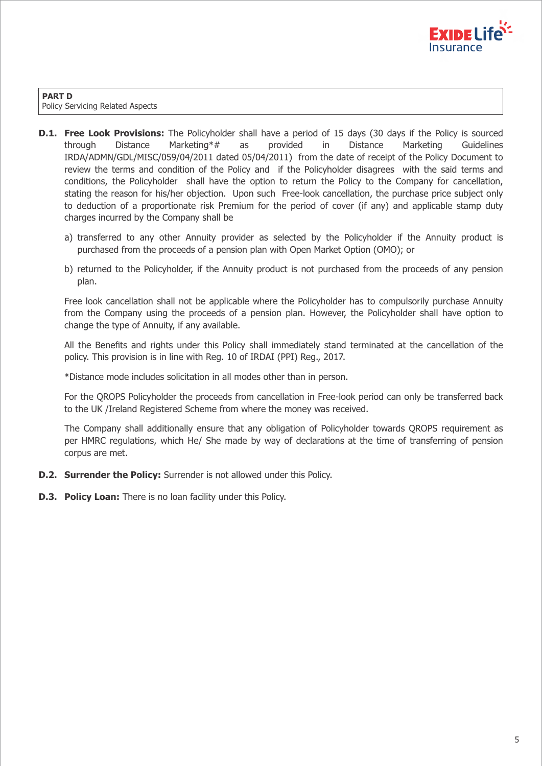

**PART D** Policy Servicing Related Aspects

- **D.1. Free Look Provisions:** The Policyholder shall have a period of 15 days (30 days if the Policy is sourced through Distance Marketing\*# as provided in Distance Marketing Guidelines IRDA/ADMN/GDL/MISC/059/04/2011 dated 05/04/2011) from the date of receipt of the Policy Document to review the terms and condition of the Policy and if the Policyholder disagrees with the said terms and conditions, the Policyholder shall have the option to return the Policy to the Company for cancellation, stating the reason for his/her objection. Upon such Free-look cancellation, the purchase price subject only to deduction of a proportionate risk Premium for the period of cover (if any) and applicable stamp duty charges incurred by the Company shall be
	- a) transferred to any other Annuity provider as selected by the Policyholder if the Annuity product is purchased from the proceeds of a pension plan with Open Market Option (OMO); or
	- b) returned to the Policyholder, if the Annuity product is not purchased from the proceeds of any pension plan.

Free look cancellation shall not be applicable where the Policyholder has to compulsorily purchase Annuity from the Company using the proceeds of a pension plan. However, the Policyholder shall have option to change the type of Annuity, if any available.

All the Benefits and rights under this Policy shall immediately stand terminated at the cancellation of the policy. This provision is in line with Reg. 10 of IRDAI (PPI) Reg., 2017.

\*Distance mode includes solicitation in all modes other than in person.

For the QROPS Policyholder the proceeds from cancellation in Free-look period can only be transferred back to the UK /Ireland Registered Scheme from where the money was received.

The Company shall additionally ensure that any obligation of Policyholder towards QROPS requirement as per HMRC regulations, which He/ She made by way of declarations at the time of transferring of pension corpus are met.

- **D.2. Surrender the Policy:** Surrender is not allowed under this Policy.
- **D.3. Policy Loan:** There is no loan facility under this Policy.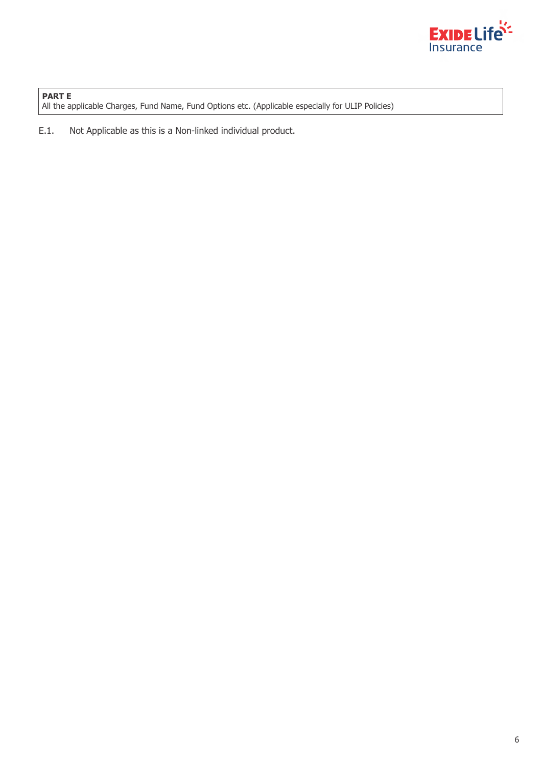

**PART E** All the applicable Charges, Fund Name, Fund Options etc. (Applicable especially for ULIP Policies)

E.1. Not Applicable as this is a Non-linked individual product.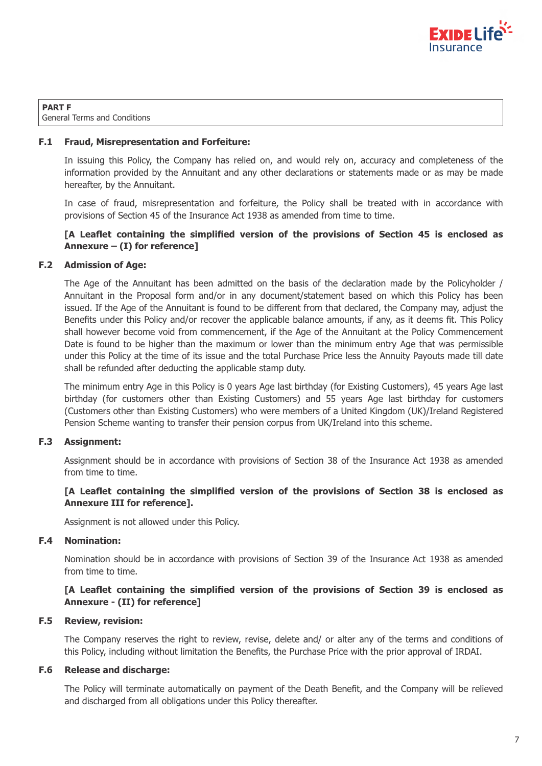

**PART F** General Terms and Conditions

## **F.1 Fraud, Misrepresentation and Forfeiture:**

In issuing this Policy, the Company has relied on, and would rely on, accuracy and completeness of the information provided by the Annuitant and any other declarations or statements made or as may be made hereafter, by the Annuitant.

In case of fraud, misrepresentation and forfeiture, the Policy shall be treated with in accordance with provisions of Section 45 of the Insurance Act 1938 as amended from time to time.

# **[A Leaflet containing the simplified version of the provisions of Section 45 is enclosed as Annexure – (I) for reference]**

# **F.2 Admission of Age:**

The Age of the Annuitant has been admitted on the basis of the declaration made by the Policyholder / Annuitant in the Proposal form and/or in any document/statement based on which this Policy has been issued. If the Age of the Annuitant is found to be different from that declared, the Company may, adjust the Benefits under this Policy and/or recover the applicable balance amounts, if any, as it deems fit. This Policy shall however become void from commencement, if the Age of the Annuitant at the Policy Commencement Date is found to be higher than the maximum or lower than the minimum entry Age that was permissible under this Policy at the time of its issue and the total Purchase Price less the Annuity Payouts made till date shall be refunded after deducting the applicable stamp duty.

The minimum entry Age in this Policy is 0 years Age last birthday (for Existing Customers), 45 years Age last birthday (for customers other than Existing Customers) and 55 years Age last birthday for customers (Customers other than Existing Customers) who were members of a United Kingdom (UK)/Ireland Registered Pension Scheme wanting to transfer their pension corpus from UK/Ireland into this scheme.

### **F.3 Assignment:**

Assignment should be in accordance with provisions of Section 38 of the Insurance Act 1938 as amended from time to time.

# **[A Leaflet containing the simplified version of the provisions of Section 38 is enclosed as Annexure III for reference].**

Assignment is not allowed under this Policy.

### **F.4 Nomination:**

Nomination should be in accordance with provisions of Section 39 of the Insurance Act 1938 as amended from time to time.

# **[A Leaflet containing the simplified version of the provisions of Section 39 is enclosed as Annexure - (II) for reference]**

### **F.5 Review, revision:**

The Company reserves the right to review, revise, delete and/ or alter any of the terms and conditions of this Policy, including without limitation the Benefits, the Purchase Price with the prior approval of IRDAI.

### **F.6 Release and discharge:**

The Policy will terminate automatically on payment of the Death Benefit, and the Company will be relieved and discharged from all obligations under this Policy thereafter.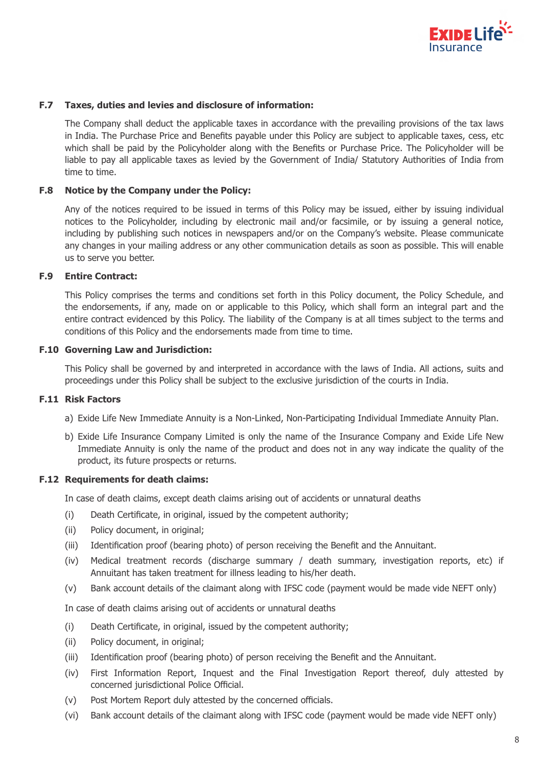

#### **F.7 Taxes, duties and levies and disclosure of information:**

The Company shall deduct the applicable taxes in accordance with the prevailing provisions of the tax laws in India. The Purchase Price and Benefits payable under this Policy are subject to applicable taxes, cess, etc which shall be paid by the Policyholder along with the Benefits or Purchase Price. The Policyholder will be liable to pay all applicable taxes as levied by the Government of India/ Statutory Authorities of India from time to time.

#### **F.8 Notice by the Company under the Policy:**

Any of the notices required to be issued in terms of this Policy may be issued, either by issuing individual notices to the Policyholder, including by electronic mail and/or facsimile, or by issuing a general notice, including by publishing such notices in newspapers and/or on the Company's website. Please communicate any changes in your mailing address or any other communication details as soon as possible. This will enable us to serve you better.

### **F.9 Entire Contract:**

This Policy comprises the terms and conditions set forth in this Policy document, the Policy Schedule, and the endorsements, if any, made on or applicable to this Policy, which shall form an integral part and the entire contract evidenced by this Policy. The liability of the Company is at all times subject to the terms and conditions of this Policy and the endorsements made from time to time.

#### **F.10 Governing Law and Jurisdiction:**

This Policy shall be governed by and interpreted in accordance with the laws of India. All actions, suits and proceedings under this Policy shall be subject to the exclusive jurisdiction of the courts in India.

#### **F.11 Risk Factors**

- a) Exide Life New Immediate Annuity is a Non-Linked, Non-Participating Individual Immediate Annuity Plan.
- b) Exide Life Insurance Company Limited is only the name of the Insurance Company and Exide Life New Immediate Annuity is only the name of the product and does not in any way indicate the quality of the product, its future prospects or returns.

#### **F.12 Requirements for death claims:**

In case of death claims, except death claims arising out of accidents or unnatural deaths

- (i) Death Certificate, in original, issued by the competent authority;
- (ii) Policy document, in original;
- (iii) Identification proof (bearing photo) of person receiving the Benefit and the Annuitant.
- (iv) Medical treatment records (discharge summary / death summary, investigation reports, etc) if Annuitant has taken treatment for illness leading to his/her death.
- (v) Bank account details of the claimant along with IFSC code (payment would be made vide NEFT only)

In case of death claims arising out of accidents or unnatural deaths

- (i) Death Certificate, in original, issued by the competent authority;
- (ii) Policy document, in original;
- (iii) Identification proof (bearing photo) of person receiving the Benefit and the Annuitant.
- (iv) First Information Report, Inquest and the Final Investigation Report thereof, duly attested by concerned jurisdictional Police Official.
- (v) Post Mortem Report duly attested by the concerned officials.
- (vi) Bank account details of the claimant along with IFSC code (payment would be made vide NEFT only)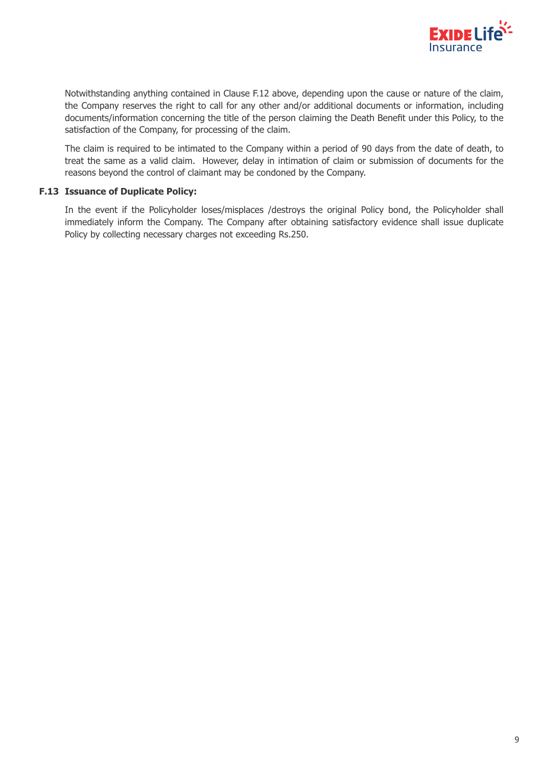

Notwithstanding anything contained in Clause F.12 above, depending upon the cause or nature of the claim, the Company reserves the right to call for any other and/or additional documents or information, including documents/information concerning the title of the person claiming the Death Benefit under this Policy, to the satisfaction of the Company, for processing of the claim.

The claim is required to be intimated to the Company within a period of 90 days from the date of death, to treat the same as a valid claim. However, delay in intimation of claim or submission of documents for the reasons beyond the control of claimant may be condoned by the Company.

# **F.13 Issuance of Duplicate Policy:**

In the event if the Policyholder loses/misplaces /destroys the original Policy bond, the Policyholder shall immediately inform the Company. The Company after obtaining satisfactory evidence shall issue duplicate Policy by collecting necessary charges not exceeding Rs.250.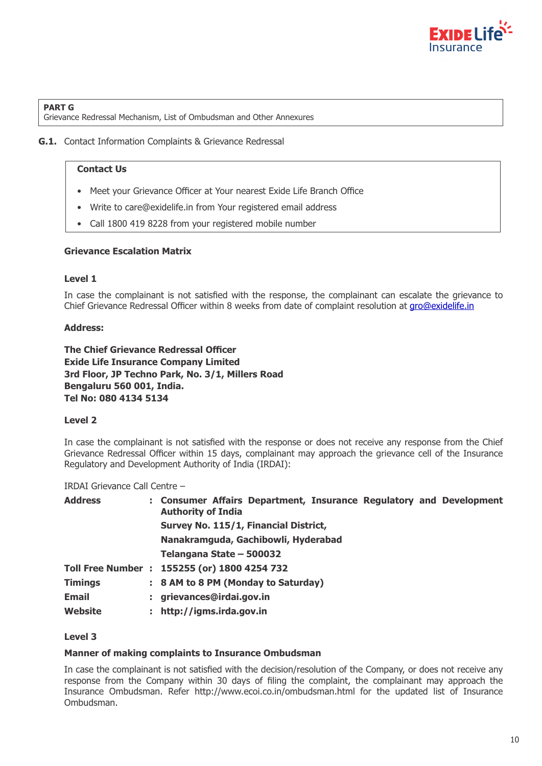

#### **PART G**

Grievance Redressal Mechanism, List of Ombudsman and Other Annexures

## **G.1.** Contact Information Complaints & Grievance Redressal

### **Contact Us**

- Meet your Grievance Officer at Your nearest Exide Life Branch Office
- Write to care@exidelife.in from Your registered email address
- Call 1800 419 8228 from your registered mobile number

# **Grievance Escalation Matrix**

# **Level 1**

In case the complainant is not satisfied with the response, the complainant can escalate the grievance to Chief Grievance Redressal Officer within 8 weeks from date of complaint resolution at gro@exidelife.in

# **Address:**

**3rd Floor, JP Techno Park, No. 3/1, Millers Road Bengaluru 560 001, India. Exide Life Insurance Company Limited Tel No: 080 4134 5134 The Chief Grievance Redressal Officer**

### **Level 2**

In case the complainant is not satisfied with the response or does not receive any response from the Chief Grievance Redressal Officer within 15 days, complainant may approach the grievance cell of the Insurance Regulatory and Development Authority of India (IRDAI):

IRDAI Grievance Call Centre –

| <b>Address</b> |    | : Consumer Affairs Department, Insurance Regulatory and Development<br><b>Authority of India</b> |
|----------------|----|--------------------------------------------------------------------------------------------------|
|                |    | Survey No. 115/1, Financial District,                                                            |
|                |    | Nanakramguda, Gachibowli, Hyderabad                                                              |
|                |    | Telangana State - 500032                                                                         |
|                |    | Toll Free Number : 155255 (or) 1800 4254 732                                                     |
| <b>Timings</b> |    | : 8 AM to 8 PM (Monday to Saturday)                                                              |
| <b>Email</b>   |    | grievances@irdai.gov.in                                                                          |
| Website        | ÷. | http://igms.irda.gov.in                                                                          |
|                |    |                                                                                                  |

# **Level 3**

### **Manner of making complaints to Insurance Ombudsman**

In case the complainant is not satisfied with the decision/resolution of the Company, or does not receive any response from the Company within 30 days of filing the complaint, the complainant may approach the Insurance Ombudsman. Refer http://www.ecoi.co.in/ombudsman.html for the updated list of Insurance Ombudsman.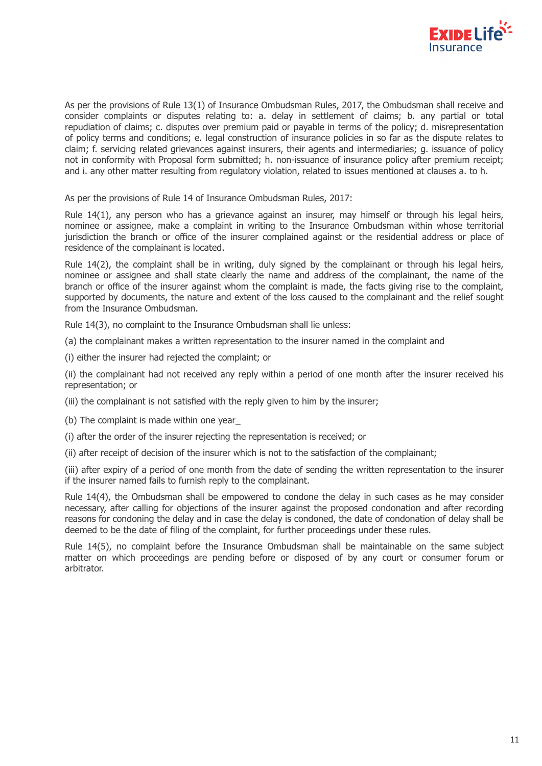

As per the provisions of Rule 13(1) of Insurance Ombudsman Rules, 2017, the Ombudsman shall receive and consider complaints or disputes relating to: a. delay in settlement of claims; b. any partial or total repudiation of claims; c. disputes over premium paid or payable in terms of the policy; d. misrepresentation of policy terms and conditions; e. legal construction of insurance policies in so far as the dispute relates to claim; f. servicing related grievances against insurers, their agents and intermediaries; g. issuance of policy not in conformity with Proposal form submitted; h. non-issuance of insurance policy after premium receipt; and i. any other matter resulting from regulatory violation, related to issues mentioned at clauses a. to h.

As per the provisions of Rule 14 of Insurance Ombudsman Rules, 2017:

Rule 14(1), any person who has a grievance against an insurer, may himself or through his legal heirs, nominee or assignee, make a complaint in writing to the Insurance Ombudsman within whose territorial jurisdiction the branch or office of the insurer complained against or the residential address or place of residence of the complainant is located.

Rule 14(2), the complaint shall be in writing, duly signed by the complainant or through his legal heirs, nominee or assignee and shall state clearly the name and address of the complainant, the name of the branch or office of the insurer against whom the complaint is made, the facts giving rise to the complaint, supported by documents, the nature and extent of the loss caused to the complainant and the relief sought from the Insurance Ombudsman.

Rule 14(3), no complaint to the Insurance Ombudsman shall lie unless:

(a) the complainant makes a written representation to the insurer named in the complaint and

(i) either the insurer had rejected the complaint; or

(ii) the complainant had not received any reply within a period of one month after the insurer received his representation; or

(iii) the complainant is not satisfied with the reply given to him by the insurer;

(b) The complaint is made within one year\_

(i) after the order of the insurer rejecting the representation is received; or

(ii) after receipt of decision of the insurer which is not to the satisfaction of the complainant;

(iii) after expiry of a period of one month from the date of sending the written representation to the insurer if the insurer named fails to furnish reply to the complainant.

Rule 14(4), the Ombudsman shall be empowered to condone the delay in such cases as he may consider necessary, after calling for objections of the insurer against the proposed condonation and after recording reasons for condoning the delay and in case the delay is condoned, the date of condonation of delay shall be deemed to be the date of filing of the complaint, for further proceedings under these rules.

Rule 14(5), no complaint before the Insurance Ombudsman shall be maintainable on the same subject matter on which proceedings are pending before or disposed of by any court or consumer forum or arbitrator.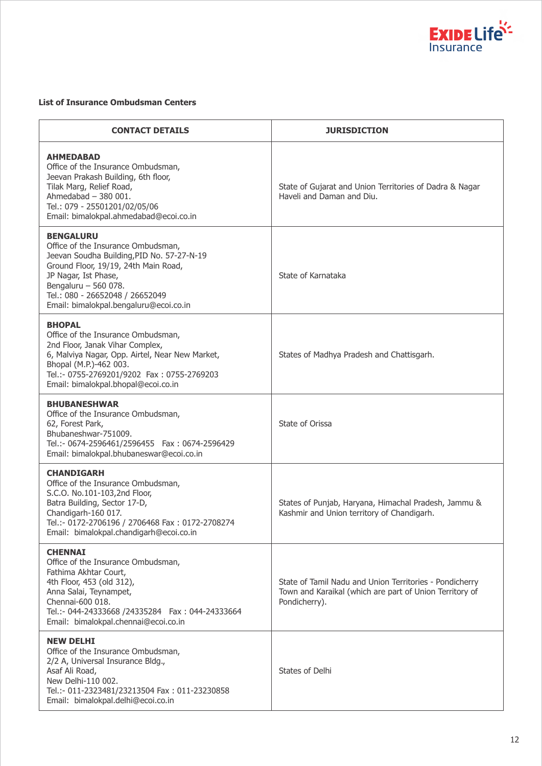

#### **List of Insurance Ombudsman Centers**

| <b>CONTACT DETAILS</b>                                                                                                                                                                                                                                                    | <b>JURISDICTION</b>                                                                                                                 |
|---------------------------------------------------------------------------------------------------------------------------------------------------------------------------------------------------------------------------------------------------------------------------|-------------------------------------------------------------------------------------------------------------------------------------|
| <b>AHMEDABAD</b><br>Office of the Insurance Ombudsman,<br>Jeevan Prakash Building, 6th floor,<br>Tilak Marg, Relief Road,<br>Ahmedabad $-380001$ .<br>Tel.: 079 - 25501201/02/05/06<br>Email: bimalokpal.ahmedabad@ecoi.co.in                                             | State of Gujarat and Union Territories of Dadra & Nagar<br>Haveli and Daman and Diu.                                                |
| <b>BENGALURU</b><br>Office of the Insurance Ombudsman,<br>Jeevan Soudha Building, PID No. 57-27-N-19<br>Ground Floor, 19/19, 24th Main Road,<br>JP Nagar, Ist Phase,<br>Bengaluru - 560 078.<br>Tel.: 080 - 26652048 / 26652049<br>Email: bimalokpal.bengaluru@ecoi.co.in | State of Karnataka                                                                                                                  |
| <b>BHOPAL</b><br>Office of the Insurance Ombudsman,<br>2nd Floor, Janak Vihar Complex,<br>6, Malviya Nagar, Opp. Airtel, Near New Market,<br>Bhopal (M.P.)-462 003.<br>Tel.:- 0755-2769201/9202 Fax: 0755-2769203<br>Email: bimalokpal.bhopal@ecoi.co.in                  | States of Madhya Pradesh and Chattisgarh.                                                                                           |
| <b>BHUBANESHWAR</b><br>Office of the Insurance Ombudsman,<br>62, Forest Park,<br>Bhubaneshwar-751009.<br>Tel.:- 0674-2596461/2596455    Fax: 0674-2596429<br>Email: bimalokpal.bhubaneswar@ecoi.co.in                                                                     | State of Orissa                                                                                                                     |
| <b>CHANDIGARH</b><br>Office of the Insurance Ombudsman,<br>S.C.O. No.101-103,2nd Floor,<br>Batra Building, Sector 17-D,<br>Chandigarh-160 017.<br>Tel.:- 0172-2706196 / 2706468 Fax: 0172-2708274<br>Email: bimalokpal.chandigarh@ecoi.co.in                              | States of Punjab, Haryana, Himachal Pradesh, Jammu &<br>Kashmir and Union territory of Chandigarh.                                  |
| <b>CHENNAI</b><br>Office of the Insurance Ombudsman,<br>Fathima Akhtar Court,<br>4th Floor, 453 (old 312),<br>Anna Salai, Teynampet,<br>Chennai-600 018.<br>Email: bimalokpal.chennai@ecoi.co.in                                                                          | State of Tamil Nadu and Union Territories - Pondicherry<br>Town and Karaikal (which are part of Union Territory of<br>Pondicherry). |
| <b>NEW DELHI</b><br>Office of the Insurance Ombudsman,<br>2/2 A, Universal Insurance Bldg.,<br>Asaf Ali Road,<br>New Delhi-110 002.<br>Tel.:- 011-2323481/23213504 Fax: 011-23230858<br>Email: bimalokpal.delhi@ecoi.co.in                                                | States of Delhi                                                                                                                     |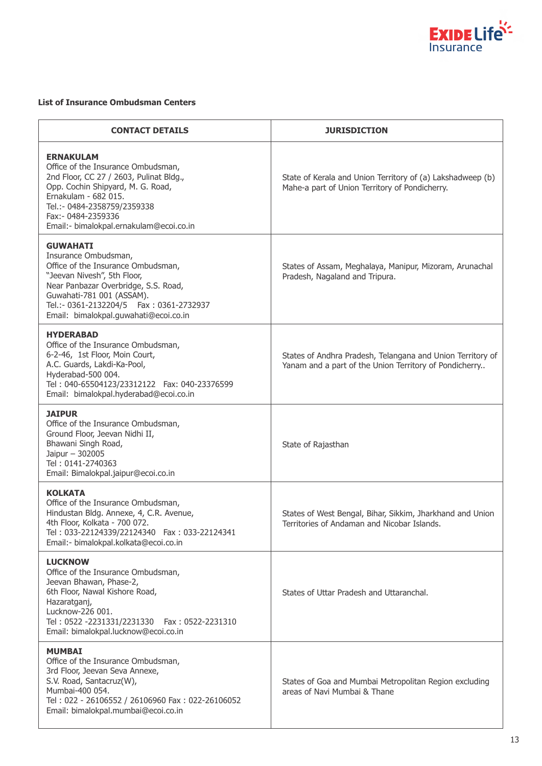

#### **List of Insurance Ombudsman Centers**

| <b>CONTACT DETAILS</b>                                                                                                                                                                                                                                                   | <b>JURISDICTION</b>                                                                                                  |
|--------------------------------------------------------------------------------------------------------------------------------------------------------------------------------------------------------------------------------------------------------------------------|----------------------------------------------------------------------------------------------------------------------|
| <b>ERNAKULAM</b><br>Office of the Insurance Ombudsman,<br>2nd Floor, CC 27 / 2603, Pulinat Bldg.,<br>Opp. Cochin Shipyard, M. G. Road,<br>Ernakulam - 682 015.<br>Tel.:- 0484-2358759/2359338<br>Fax: - 0484-2359336<br>Email:- bimalokpal.ernakulam@ecoi.co.in          | State of Kerala and Union Territory of (a) Lakshadweep (b)<br>Mahe-a part of Union Territory of Pondicherry.         |
| <b>GUWAHATI</b><br>Insurance Ombudsman,<br>Office of the Insurance Ombudsman,<br>"Jeevan Nivesh", 5th Floor,<br>Near Panbazar Overbridge, S.S. Road,<br>Guwahati-781 001 (ASSAM).<br>Tel.:- 0361-2132204/5    Fax: 0361-2732937<br>Email: bimalokpal.quwahati@ecoi.co.in | States of Assam, Meghalaya, Manipur, Mizoram, Arunachal<br>Pradesh, Nagaland and Tripura.                            |
| <b>HYDERABAD</b><br>Office of the Insurance Ombudsman,<br>6-2-46, 1st Floor, Moin Court,<br>A.C. Guards, Lakdi-Ka-Pool,<br>Hyderabad-500 004.<br>Tel: 040-65504123/23312122    Fax: 040-23376599<br>Email: bimalokpal.hyderabad@ecoi.co.in                               | States of Andhra Pradesh, Telangana and Union Territory of<br>Yanam and a part of the Union Territory of Pondicherry |
| <b>JAIPUR</b><br>Office of the Insurance Ombudsman,<br>Ground Floor, Jeevan Nidhi II,<br>Bhawani Singh Road,<br>Jaipur - 302005<br>Tel: 0141-2740363<br>Email: Bimalokpal.jaipur@ecoi.co.in                                                                              | State of Rajasthan                                                                                                   |
| <b>KOLKATA</b><br>Office of the Insurance Ombudsman,<br>Hindustan Bldg. Annexe, 4, C.R. Avenue,<br>4th Floor, Kolkata - 700 072.<br>Tel: 033-22124339/22124340    Fax: 033-22124341<br>Email:- bimalokpal.kolkata@ecoi.co.in                                             | States of West Bengal, Bihar, Sikkim, Jharkhand and Union<br>Territories of Andaman and Nicobar Islands.             |
| <b>LUCKNOW</b><br>Office of the Insurance Ombudsman,<br>Jeevan Bhawan, Phase-2,<br>6th Floor, Nawal Kishore Road,<br>Hazaratganj,<br>Lucknow-226 001.<br>Tel: 0522 -2231331/2231330<br>Fax: 0522-2231310<br>Email: bimalokpal.lucknow@ecoi.co.in                         | States of Uttar Pradesh and Uttaranchal.                                                                             |
| <b>MUMBAI</b><br>Office of the Insurance Ombudsman,<br>3rd Floor, Jeevan Seva Annexe,<br>S.V. Road, Santacruz(W),<br>Mumbai-400 054.<br>Tel: 022 - 26106552 / 26106960 Fax: 022-26106052<br>Email: bimalokpal.mumbai@ecoi.co.in                                          | States of Goa and Mumbai Metropolitan Region excluding<br>areas of Navi Mumbai & Thane                               |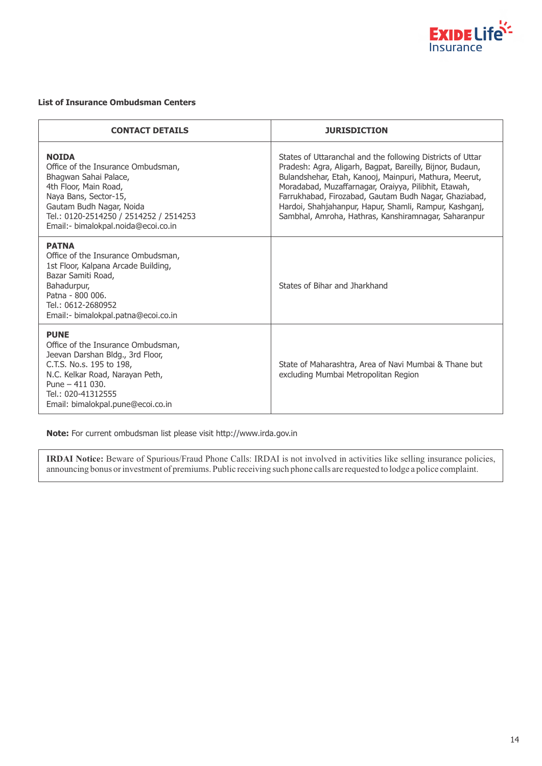

#### **List of Insurance Ombudsman Centers**

| <b>CONTACT DETAILS</b>                                                                                                                                                                                                                     | <b>JURISDICTION</b>                                                                                                                                                                                                                                                                                                                                                                                                  |
|--------------------------------------------------------------------------------------------------------------------------------------------------------------------------------------------------------------------------------------------|----------------------------------------------------------------------------------------------------------------------------------------------------------------------------------------------------------------------------------------------------------------------------------------------------------------------------------------------------------------------------------------------------------------------|
| <b>NOIDA</b><br>Office of the Insurance Ombudsman,<br>Bhagwan Sahai Palace,<br>4th Floor, Main Road,<br>Naya Bans, Sector-15,<br>Gautam Budh Nagar, Noida<br>Tel.: 0120-2514250 / 2514252 / 2514253<br>Email:- bimalokpal.noida@ecoi.co.in | States of Uttaranchal and the following Districts of Uttar<br>Pradesh: Agra, Aligarh, Bagpat, Bareilly, Bijnor, Budaun,<br>Bulandshehar, Etah, Kanooj, Mainpuri, Mathura, Meerut,<br>Moradabad, Muzaffarnagar, Oraiyya, Pilibhit, Etawah,<br>Farrukhabad, Firozabad, Gautam Budh Nagar, Ghaziabad,<br>Hardoi, Shahjahanpur, Hapur, Shamli, Rampur, Kashganj,<br>Sambhal, Amroha, Hathras, Kanshiramnagar, Saharanpur |
| <b>PATNA</b><br>Office of the Insurance Ombudsman,<br>1st Floor, Kalpana Arcade Building,<br>Bazar Samiti Road,<br>Bahadurpur,<br>Patna - 800 006.<br>Tel.: 0612-2680952<br>Email: - bimalokpal.patna@ecoi.co.in                           | States of Bihar and Jharkhand                                                                                                                                                                                                                                                                                                                                                                                        |
| <b>PUNE</b><br>Office of the Insurance Ombudsman,<br>Jeevan Darshan Bldg., 3rd Floor,<br>C.T.S. No.s. 195 to 198,<br>N.C. Kelkar Road, Narayan Peth,<br>Pune $-411$ 030.<br>Tel.: 020-41312555<br>Email: bimalokpal.pune@ecoi.co.in        | State of Maharashtra, Area of Navi Mumbai & Thane but<br>excluding Mumbai Metropolitan Region                                                                                                                                                                                                                                                                                                                        |

**Note:** For current ombudsman list please visit http://www.irda.gov.in

**IRDAI Notice:** Beware of Spurious/Fraud Phone Calls: IRDAI is not involved in activities like selling insurance policies, announcing bonus or investment of premiums. Public receiving such phone calls are requested to lodge a police complaint.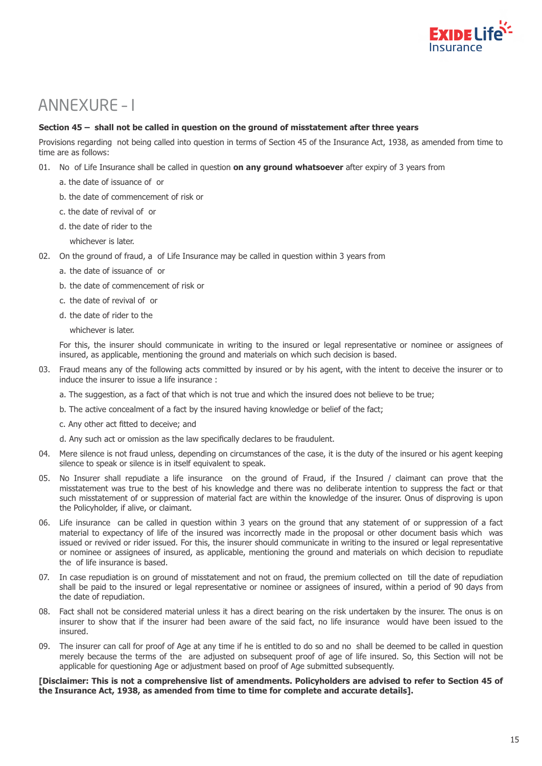

# ANNEXURE – I

#### **Section 45 – shall not be called in question on the ground of misstatement after three years**

Provisions regarding not being called into question in terms of Section 45 of the Insurance Act, 1938, as amended from time to time are as follows:

- 01. No of Life Insurance shall be called in question **on any ground whatsoever** after expiry of 3 years from
	- a. the date of issuance of or
	- b. the date of commencement of risk or
	- c. the date of revival of or
	- d. the date of rider to the
		- whichever is later.
- 02. On the ground of fraud, a of Life Insurance may be called in question within 3 years from
	- a. the date of issuance of or
	- b. the date of commencement of risk or
	- c. the date of revival of or
	- d. the date of rider to the
		- whichever is later.

For this, the insurer should communicate in writing to the insured or legal representative or nominee or assignees of insured, as applicable, mentioning the ground and materials on which such decision is based.

- 03. Fraud means any of the following acts committed by insured or by his agent, with the intent to deceive the insurer or to induce the insurer to issue a life insurance :
	- a. The suggestion, as a fact of that which is not true and which the insured does not believe to be true;
	- b. The active concealment of a fact by the insured having knowledge or belief of the fact;
	- c. Any other act fitted to deceive; and
	- d. Any such act or omission as the law specifically declares to be fraudulent.
- 04. Mere silence is not fraud unless, depending on circumstances of the case, it is the duty of the insured or his agent keeping silence to speak or silence is in itself equivalent to speak.
- 05. No Insurer shall repudiate a life insurance on the ground of Fraud, if the Insured / claimant can prove that the misstatement was true to the best of his knowledge and there was no deliberate intention to suppress the fact or that such misstatement of or suppression of material fact are within the knowledge of the insurer. Onus of disproving is upon the Policyholder, if alive, or claimant.
- 06. Life insurance can be called in question within 3 years on the ground that any statement of or suppression of a fact material to expectancy of life of the insured was incorrectly made in the proposal or other document basis which was issued or revived or rider issued. For this, the insurer should communicate in writing to the insured or legal representative or nominee or assignees of insured, as applicable, mentioning the ground and materials on which decision to repudiate the of life insurance is based.
- 07. In case repudiation is on ground of misstatement and not on fraud, the premium collected on till the date of repudiation shall be paid to the insured or legal representative or nominee or assignees of insured, within a period of 90 days from the date of repudiation.
- 08. Fact shall not be considered material unless it has a direct bearing on the risk undertaken by the insurer. The onus is on insurer to show that if the insurer had been aware of the said fact, no life insurance would have been issued to the insured.
- 09. The insurer can call for proof of Age at any time if he is entitled to do so and no shall be deemed to be called in question merely because the terms of the are adjusted on subsequent proof of age of life insured. So, this Section will not be applicable for questioning Age or adjustment based on proof of Age submitted subsequently.

#### **[Disclaimer: This is not a comprehensive list of amendments. Policyholders are advised to refer to Section 45 of the Insurance Act, 1938, as amended from time to time for complete and accurate details].**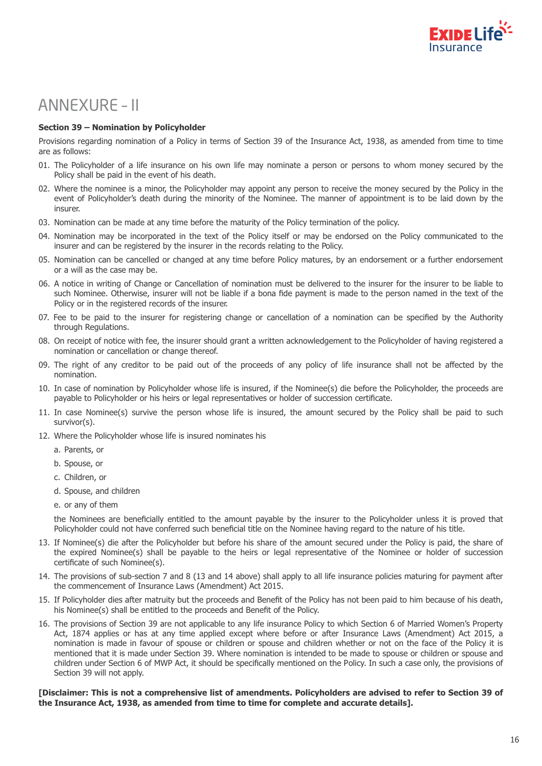

# ANNEXURE – II

#### **Section 39 – Nomination by Policyholder**

Provisions regarding nomination of a Policy in terms of Section 39 of the Insurance Act, 1938, as amended from time to time are as follows:

- 01. The Policyholder of a life insurance on his own life may nominate a person or persons to whom money secured by the Policy shall be paid in the event of his death.
- 02. Where the nominee is a minor, the Policyholder may appoint any person to receive the money secured by the Policy in the event of Policyholder's death during the minority of the Nominee. The manner of appointment is to be laid down by the insurer.
- 03. Nomination can be made at any time before the maturity of the Policy termination of the policy.
- 04. Nomination may be incorporated in the text of the Policy itself or may be endorsed on the Policy communicated to the insurer and can be registered by the insurer in the records relating to the Policy.
- 05. Nomination can be cancelled or changed at any time before Policy matures, by an endorsement or a further endorsement or a will as the case may be.
- 06. A notice in writing of Change or Cancellation of nomination must be delivered to the insurer for the insurer to be liable to such Nominee. Otherwise, insurer will not be liable if a bona fide payment is made to the person named in the text of the Policy or in the registered records of the insurer.
- 07. Fee to be paid to the insurer for registering change or cancellation of a nomination can be specified by the Authority through Regulations.
- 08. On receipt of notice with fee, the insurer should grant a written acknowledgement to the Policyholder of having registered a nomination or cancellation or change thereof.
- 09. The right of any creditor to be paid out of the proceeds of any policy of life insurance shall not be affected by the nomination.
- 10. In case of nomination by Policyholder whose life is insured, if the Nominee(s) die before the Policyholder, the proceeds are payable to Policyholder or his heirs or legal representatives or holder of succession certificate.
- 11. In case Nominee(s) survive the person whose life is insured, the amount secured by the Policy shall be paid to such survivor(s).
- 12. Where the Policyholder whose life is insured nominates his
	- a. Parents, or
	- b. Spouse, or
	- c. Children, or
	- d. Spouse, and children
	- e. or any of them

the Nominees are beneficially entitled to the amount payable by the insurer to the Policyholder unless it is proved that Policyholder could not have conferred such beneficial title on the Nominee having regard to the nature of his title.

- 13. If Nominee(s) die after the Policyholder but before his share of the amount secured under the Policy is paid, the share of the expired Nominee(s) shall be payable to the heirs or legal representative of the Nominee or holder of succession certificate of such Nominee(s).
- 14. The provisions of sub-section 7 and 8 (13 and 14 above) shall apply to all life insurance policies maturing for payment after the commencement of Insurance Laws (Amendment) Act 2015.
- 15. If Policyholder dies after matruity but the proceeds and Benefit of the Policy has not been paid to him because of his death, his Nominee(s) shall be entitled to the proceeds and Benefit of the Policy.
- 16. The provisions of Section 39 are not applicable to any life insurance Policy to which Section 6 of Married Women's Property Act, 1874 applies or has at any time applied except where before or after Insurance Laws (Amendment) Act 2015, a nomination is made in favour of spouse or children or spouse and children whether or not on the face of the Policy it is mentioned that it is made under Section 39. Where nomination is intended to be made to spouse or children or spouse and children under Section 6 of MWP Act, it should be specifically mentioned on the Policy. In such a case only, the provisions of Section 39 will not apply.

#### **[Disclaimer: This is not a comprehensive list of amendments. Policyholders are advised to refer to Section 39 of the Insurance Act, 1938, as amended from time to time for complete and accurate details].**